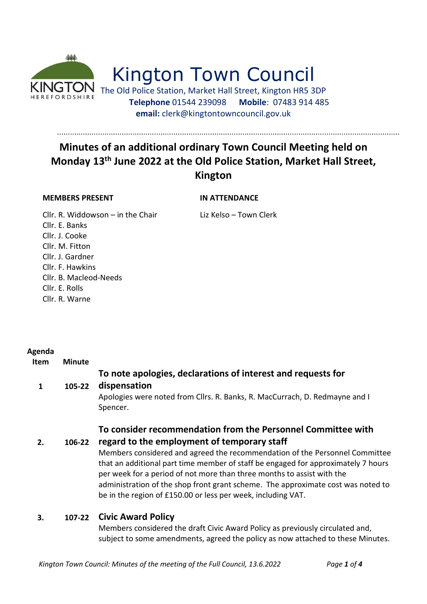

# Kington Town Council

The Old Police Station, Market Hall Street, Kington HR5 3DP  **Telephone** 01544 239098 **Mobile**: 07483 914 485 **email:** clerk@kingtontowncouncil.gov.uk

## **Minutes of an additional ordinary Town Council Meeting held on Monday 13th June 2022 at the Old Police Station, Market Hall Street, Kington**

#### **MEMBERS PRESENT IN ATTENDANCE**

Cllr. R. Widdowson – in the Chair Liz Kelso – Town Clerk Cllr. E. Banks Cllr. J. Cooke Cllr. M. Fitton Cllr. J. Gardner Cllr. F. Hawkins Cllr. B. Macleod-Needs Cllr. E. Rolls Cllr. R. Warne

#### **Agenda**

**Item Minute**

#### **To note apologies, declarations of interest and requests for**

#### **1 105-22 dispensation**

Apologies were noted from Cllrs. R. Banks, R. MacCurrach, D. Redmayne and I Spencer.

### **To consider recommendation from the Personnel Committee with**

**2. 106-22 regard to the employment of temporary staff**

> Members considered and agreed the recommendation of the Personnel Committee that an additional part time member of staff be engaged for approximately 7 hours per week for a period of not more than three months to assist with the administration of the shop front grant scheme. The approximate cost was noted to be in the region of £150.00 or less per week, including VAT.

#### **3. 107-22 Civic Award Policy**

Members considered the draft Civic Award Policy as previously circulated and, subject to some amendments, agreed the policy as now attached to these Minutes.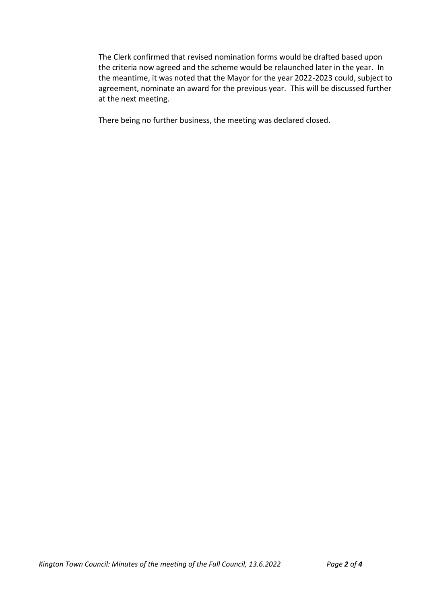The Clerk confirmed that revised nomination forms would be drafted based upon the criteria now agreed and the scheme would be relaunched later in the year. In the meantime, it was noted that the Mayor for the year 2022-2023 could, subject to agreement, nominate an award for the previous year. This will be discussed further at the next meeting.

There being no further business, the meeting was declared closed.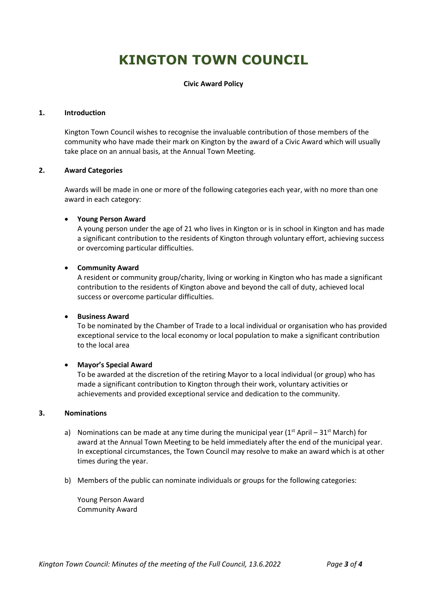# **KINGTON TOWN COUNCIL**

#### **Civic Award Policy**

#### **1. Introduction**

Kington Town Council wishes to recognise the invaluable contribution of those members of the community who have made their mark on Kington by the award of a Civic Award which will usually take place on an annual basis, at the Annual Town Meeting.

#### **2. Award Categories**

Awards will be made in one or more of the following categories each year, with no more than one award in each category:

#### • **Young Person Award**

A young person under the age of 21 who lives in Kington or is in school in Kington and has made a significant contribution to the residents of Kington through voluntary effort, achieving success or overcoming particular difficulties.

#### • **Community Award**

A resident or community group/charity, living or working in Kington who has made a significant contribution to the residents of Kington above and beyond the call of duty, achieved local success or overcome particular difficulties.

#### • **Business Award**

To be nominated by the Chamber of Trade to a local individual or organisation who has provided exceptional service to the local economy or local population to make a significant contribution to the local area

#### • **Mayor's Special Award**

To be awarded at the discretion of the retiring Mayor to a local individual (or group) who has made a significant contribution to Kington through their work, voluntary activities or achievements and provided exceptional service and dedication to the community.

#### **3. Nominations**

- a) Nominations can be made at any time during the municipal year ( $1<sup>st</sup>$  April 31<sup>st</sup> March) for award at the Annual Town Meeting to be held immediately after the end of the municipal year. In exceptional circumstances, the Town Council may resolve to make an award which is at other times during the year.
- b) Members of the public can nominate individuals or groups for the following categories:

Young Person Award Community Award